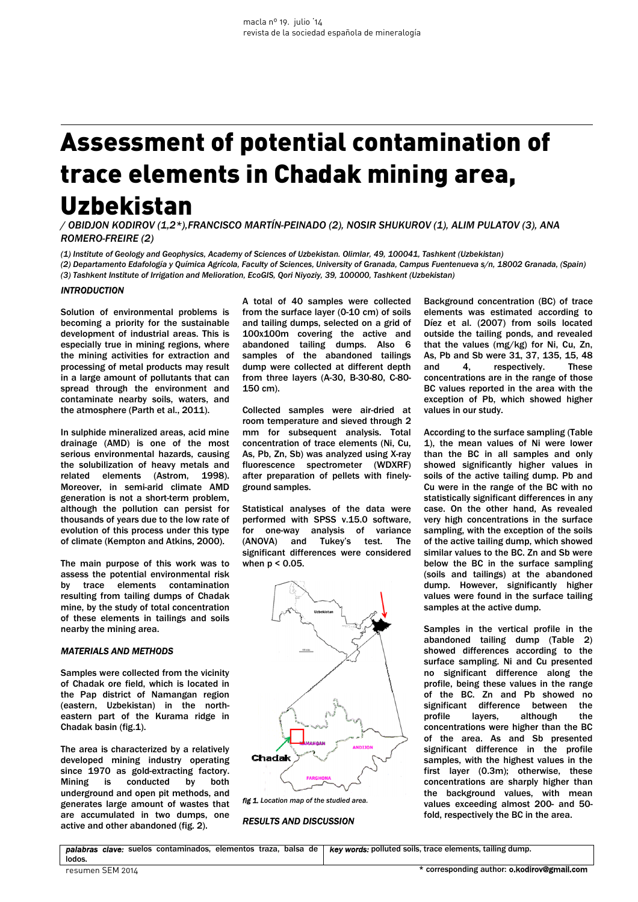# Assessment of potential contamination of trace elements in Chadak mining area, Uzbekistan

*/ OBIDJON KODIROV (1,2\*),FRANCISCO MARTÍN-PEINADO (2), NOSIR SHUKUROV (1), ALIM PULATOV (3), ANA ROMERO-FREIRE (2)* 

*(1) Institute of Geology and Geophysics, Academy of Sciences of Uzbekistan. Olimlar, 49, 100041, Tashkent (Uzbekistan)*

*(2) Departamento Edafología y Química Agrícola, Faculty of Sciences, University of Granada, Campus Fuentenueva s/n, 18002 Granada, (Spain) (3) Tashkent Institute of Irrigation and Melioration, EcoGIS, Qori Niyoziy, 39, 100000, Tashkent (Uzbekistan)* 

# *INTRODUCTION*

Solution of environmental problems is becoming a priority for the sustainable development of industrial areas. This is especially true in mining regions, where the mining activities for extraction and processing of metal products may result in a large amount of pollutants that can spread through the environment and contaminate nearby soils, waters, and the atmosphere (Parth et al., 2011).

In sulphide mineralized areas, acid mine drainage (AMD) is one of the most serious environmental hazards, causing the solubilization of heavy metals and related elements (Astrom, 1998). Moreover, in semi-arid climate AMD generation is not a short-term problem, although the pollution can persist for thousands of years due to the low rate of evolution of this process under this type of climate (Kempton and Atkins, 2000).

The main purpose of this work was to assess the potential environmental risk by trace elements contamination resulting from tailing dumps of Chadak mine, by the study of total concentration of these elements in tailings and soils nearby the mining area.

### *MATERIALS AND METHODS*

Samples were collected from the vicinity of Chadak ore field, which is located in the Pap district of Namangan region (eastern, Uzbekistan) in the northeastern part of the Kurama ridge in Chadak basin (fig.1).

The area is characterized by a relatively developed mining industry operating since 1970 as gold-extracting factory. Mining is conducted by both underground and open pit methods, and generates large amount of wastes that are accumulated in two dumps, one active and other abandoned (fig. 2).

A total of 40 samples were collected from the surface layer (0-10 cm) of soils and tailing dumps, selected on a grid of 100x100m covering the active and abandoned tailing dumps. Also 6 samples of the abandoned tailings dump were collected at different depth from three layers (A-30, B-30-80, C-80- 150 cm).

Collected samples were air-dried at room temperature and sieved through 2 mm for subsequent analysis. Total concentration of trace elements (Ni, Cu, As, Pb, Zn, Sb) was analyzed using X-ray fluorescence spectrometer (WDXRF) after preparation of pellets with finelyground samples.

Statistical analyses of the data were performed with SPSS v.15.0 software, for one-way analysis of variance (ANOVA) and Tukey's test. The significant differences were considered when p < 0.05.



*fig 1. Location map of the studied area.* 

*RESULTS AND DISCUSSION* 

Background concentration (BC) of trace elements was estimated according to Díez et al. (2007) from soils located outside the tailing ponds, and revealed that the values (mg/kg) for Ni, Cu, Zn, As, Pb and Sb were 31, 37, 135, 15, 48 and 4, respectively. These concentrations are in the range of those BC values reported in the area with the exception of Pb, which showed higher values in our study.

According to the surface sampling (Table 1), the mean values of Ni were lower than the BC in all samples and only showed significantly higher values in soils of the active tailing dump. Pb and Cu were in the range of the BC with no statistically significant differences in any case. On the other hand, As revealed very high concentrations in the surface sampling, with the exception of the soils of the active tailing dump, which showed similar values to the BC. Zn and Sb were below the BC in the surface sampling (soils and tailings) at the abandoned dump. However, significantly higher values were found in the surface tailing samples at the active dump.

Samples in the vertical profile in the abandoned tailing dump (Table 2) showed differences according to the surface sampling. Ni and Cu presented no significant difference along the profile, being these values in the range of the BC. Zn and Pb showed no significant difference between the<br>profile layers, although the layers, although the concentrations were higher than the BC of the area. As and Sb presented significant difference in the profile samples, with the highest values in the first layer (0.3m); otherwise, these concentrations are sharply higher than the background values, with mean values exceeding almost 200- and 50 fold, respectively the BC in the area.